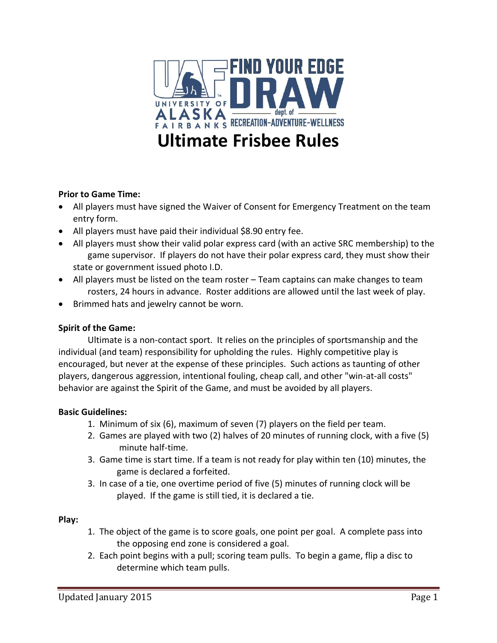

## **Prior to Game Time:**

- All players must have signed the Waiver of Consent for Emergency Treatment on the team entry form.
- All players must have paid their individual \$8.90 entry fee.
- All players must show their valid polar express card (with an active SRC membership) to the game supervisor. If players do not have their polar express card, they must show their state or government issued photo I.D.
- All players must be listed on the team roster Team captains can make changes to team rosters, 24 hours in advance. Roster additions are allowed until the last week of play.
- Brimmed hats and jewelry cannot be worn.

# **Spirit of the Game:**

Ultimate is a non-contact sport. It relies on the principles of sportsmanship and the individual (and team) responsibility for upholding the rules. Highly competitive play is encouraged, but never at the expense of these principles. Such actions as taunting of other players, dangerous aggression, intentional fouling, cheap call, and other "win-at-all costs" behavior are against the Spirit of the Game, and must be avoided by all players.

## **Basic Guidelines:**

- 1. Minimum of six (6), maximum of seven (7) players on the field per team.
- 2. Games are played with two (2) halves of 20 minutes of running clock, with a five (5) minute half-time.
- 3. Game time is start time. If a team is not ready for play within ten (10) minutes, the game is declared a forfeited.
- 3. In case of a tie, one overtime period of five (5) minutes of running clock will be played. If the game is still tied, it is declared a tie.

## **Play:**

- 1. The object of the game is to score goals, one point per goal. A complete pass into the opposing end zone is considered a goal.
- 2. Each point begins with a pull; scoring team pulls. To begin a game, flip a disc to determine which team pulls.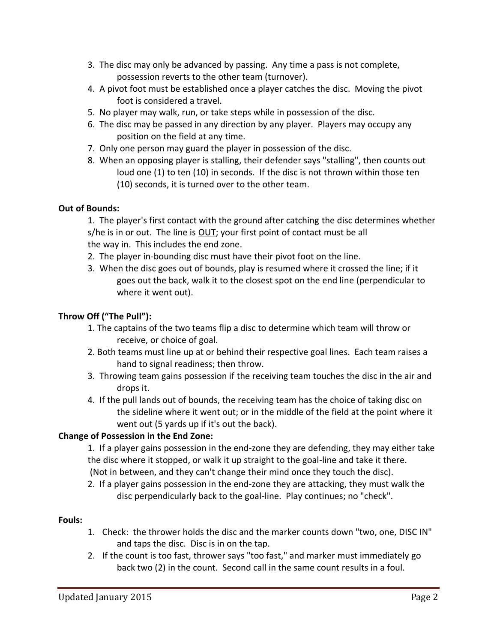- 3. The disc may only be advanced by passing. Any time a pass is not complete, possession reverts to the other team (turnover).
- 4. A pivot foot must be established once a player catches the disc. Moving the pivot foot is considered a travel.
- 5. No player may walk, run, or take steps while in possession of the disc.
- 6. The disc may be passed in any direction by any player. Players may occupy any position on the field at any time.
- 7. Only one person may guard the player in possession of the disc.
- 8. When an opposing player is stalling, their defender says "stalling", then counts out loud one (1) to ten (10) in seconds. If the disc is not thrown within those ten (10) seconds, it is turned over to the other team.

# **Out of Bounds:**

1. The player's first contact with the ground after catching the disc determines whether s/he is in or out. The line is OUT; your first point of contact must be all the way in. This includes the end zone.

- 2. The player in-bounding disc must have their pivot foot on the line.
- 3. When the disc goes out of bounds, play is resumed where it crossed the line; if it goes out the back, walk it to the closest spot on the end line (perpendicular to where it went out).

## **Throw Off ("The Pull"):**

- 1. The captains of the two teams flip a disc to determine which team will throw or receive, or choice of goal.
- 2. Both teams must line up at or behind their respective goal lines. Each team raises a hand to signal readiness; then throw.
- 3. Throwing team gains possession if the receiving team touches the disc in the air and drops it.
- 4. If the pull lands out of bounds, the receiving team has the choice of taking disc on the sideline where it went out; or in the middle of the field at the point where it went out (5 yards up if it's out the back).

# **Change of Possession in the End Zone:**

1. If a player gains possession in the end-zone they are defending, they may either take the disc where it stopped, or walk it up straight to the goal-line and take it there. (Not in between, and they can't change their mind once they touch the disc).

2. If a player gains possession in the end-zone they are attacking, they must walk the disc perpendicularly back to the goal-line. Play continues; no "check".

## **Fouls:**

- 1. Check: the thrower holds the disc and the marker counts down "two, one, DISC IN" and taps the disc. Disc is in on the tap.
- 2. If the count is too fast, thrower says "too fast," and marker must immediately go back two (2) in the count. Second call in the same count results in a foul.